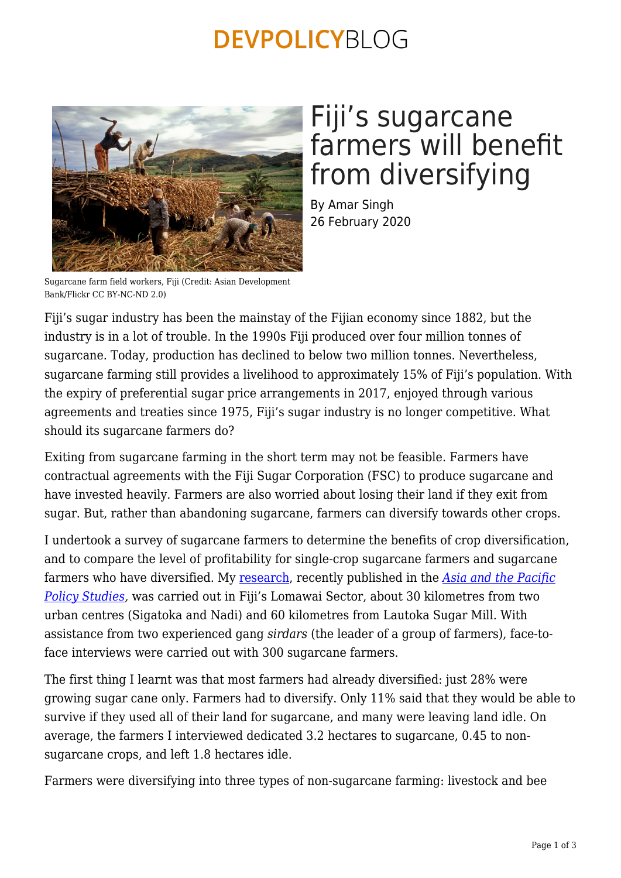### **DEVPOLICYBLOG**



# Fiji's sugarcane farmers will benefit from diversifying

By Amar Singh 26 February 2020

Sugarcane farm field workers, Fiji (Credit: Asian Development Bank/Flickr CC BY-NC-ND 2.0)

Fiji's sugar industry has been the mainstay of the Fijian economy since 1882, but the industry is in a lot of trouble. In the 1990s Fiji produced over four million tonnes of sugarcane. Today, production has declined to below two million tonnes. Nevertheless, sugarcane farming still provides a livelihood to approximately 15% of Fiji's population. With the expiry of preferential sugar price arrangements in 2017, enjoyed through various agreements and treaties since 1975, Fiji's sugar industry is no longer competitive. What should its sugarcane farmers do?

Exiting from sugarcane farming in the short term may not be feasible. Farmers have contractual agreements with the Fiji Sugar Corporation (FSC) to produce sugarcane and have invested heavily. Farmers are also worried about losing their land if they exit from sugar. But, rather than abandoning sugarcane, farmers can diversify towards other crops.

I undertook a survey of sugarcane farmers to determine the benefits of crop diversification, and to compare the level of profitability for single-crop sugarcane farmers and sugarcane farmers who have diversified. My [research,](https://onlinelibrary.wiley.com/doi/10.1002/app5.291) recently published in the *[Asia and the Pacific](https://onlinelibrary.wiley.com/journal/20502680) [Policy Studies,](https://onlinelibrary.wiley.com/journal/20502680)* was carried out in Fiji's Lomawai Sector, about 30 kilometres from two urban centres (Sigatoka and Nadi) and 60 kilometres from Lautoka Sugar Mill. With assistance from two experienced gang *sirdars* (the leader of a group of farmers), face-toface interviews were carried out with 300 sugarcane farmers.

The first thing I learnt was that most farmers had already diversified: just 28% were growing sugar cane only. Farmers had to diversify. Only 11% said that they would be able to survive if they used all of their land for sugarcane, and many were leaving land idle. On average, the farmers I interviewed dedicated 3.2 hectares to sugarcane, 0.45 to nonsugarcane crops, and left 1.8 hectares idle.

Farmers were diversifying into three types of non-sugarcane farming: livestock and bee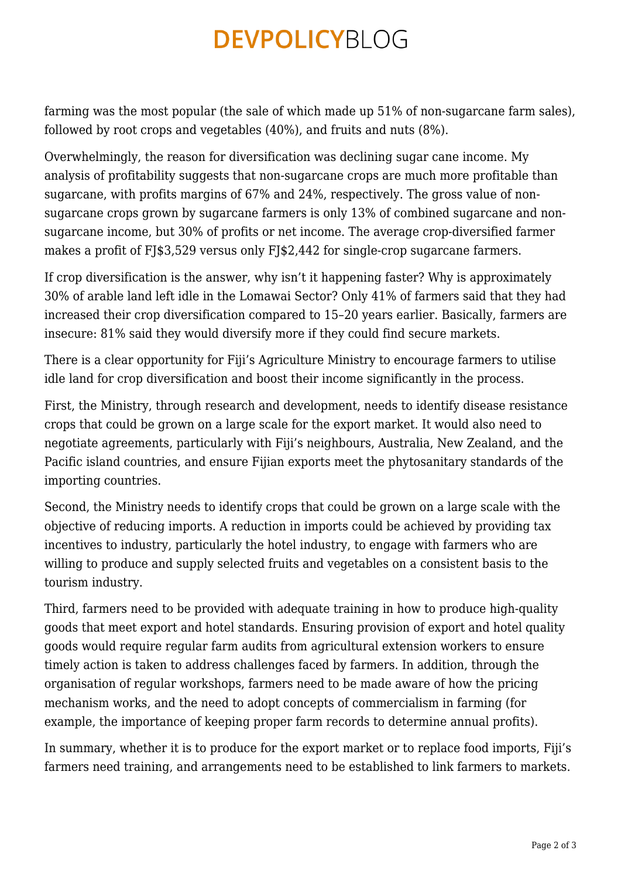# **DEVPOLICYBLOG**

farming was the most popular (the sale of which made up 51% of non-sugarcane farm sales), followed by root crops and vegetables (40%), and fruits and nuts (8%).

Overwhelmingly, the reason for diversification was declining sugar cane income. My analysis of profitability suggests that non-sugarcane crops are much more profitable than sugarcane, with profits margins of 67% and 24%, respectively. The gross value of nonsugarcane crops grown by sugarcane farmers is only 13% of combined sugarcane and nonsugarcane income, but 30% of profits or net income. The average crop-diversified farmer makes a profit of FJ\$3,529 versus only FJ\$2,442 for single-crop sugarcane farmers.

If crop diversification is the answer, why isn't it happening faster? Why is approximately 30% of arable land left idle in the Lomawai Sector? Only 41% of farmers said that they had increased their crop diversification compared to 15–20 years earlier. Basically, farmers are insecure: 81% said they would diversify more if they could find secure markets.

There is a clear opportunity for Fiji's Agriculture Ministry to encourage farmers to utilise idle land for crop diversification and boost their income significantly in the process.

First, the Ministry, through research and development, needs to identify disease resistance crops that could be grown on a large scale for the export market. It would also need to negotiate agreements, particularly with Fiji's neighbours, Australia, New Zealand, and the Pacific island countries, and ensure Fijian exports meet the phytosanitary standards of the importing countries.

Second, the Ministry needs to identify crops that could be grown on a large scale with the objective of reducing imports. A reduction in imports could be achieved by providing tax incentives to industry, particularly the hotel industry, to engage with farmers who are willing to produce and supply selected fruits and vegetables on a consistent basis to the tourism industry.

Third, farmers need to be provided with adequate training in how to produce high‐quality goods that meet export and hotel standards. Ensuring provision of export and hotel quality goods would require regular farm audits from agricultural extension workers to ensure timely action is taken to address challenges faced by farmers. In addition, through the organisation of regular workshops, farmers need to be made aware of how the pricing mechanism works, and the need to adopt concepts of commercialism in farming (for example, the importance of keeping proper farm records to determine annual profits).

In summary, whether it is to produce for the export market or to replace food imports, Fiji's farmers need training, and arrangements need to be established to link farmers to markets.